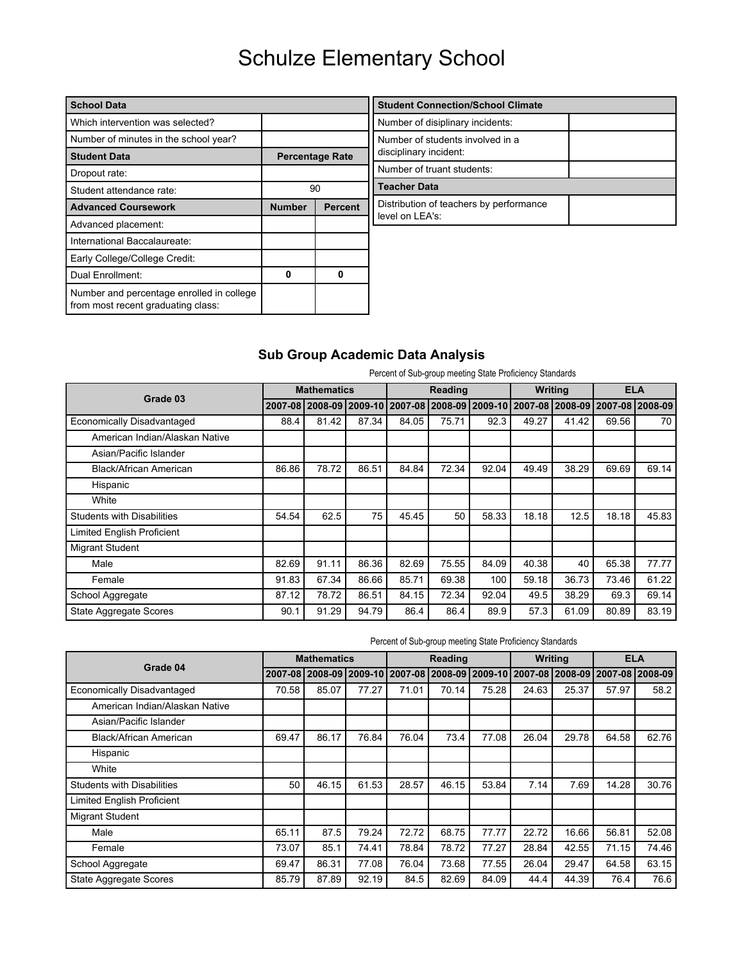| <b>School Data</b>                                                              |               |                        | <b>Student Connection/School Climate</b> |  |
|---------------------------------------------------------------------------------|---------------|------------------------|------------------------------------------|--|
| Which intervention was selected?                                                |               |                        | Number of disiplinary incidents:         |  |
| Number of minutes in the school year?                                           |               |                        | Number of students involved in a         |  |
| <b>Student Data</b>                                                             |               | <b>Percentage Rate</b> | disciplinary incident:                   |  |
| Dropout rate:                                                                   |               |                        | Number of truant students:               |  |
| Student attendance rate:                                                        |               | 90                     | Teacher Data                             |  |
| <b>Advanced Coursework</b>                                                      | <b>Number</b> | <b>Percent</b>         | Distribution of teachers by performance  |  |
| Advanced placement:                                                             |               |                        | level on LEA's:                          |  |
| International Baccalaureate:                                                    |               |                        |                                          |  |
| Early College/College Credit:                                                   |               |                        |                                          |  |
| Dual Enrollment:                                                                | 0             | 0                      |                                          |  |
| Number and percentage enrolled in college<br>from most recent graduating class: |               |                        |                                          |  |

### **Sub Group Academic Data Analysis**

| Percent of Sub-group meeting State Proficiency Standards |
|----------------------------------------------------------|
|----------------------------------------------------------|

|                                   |       | <b>Mathematics</b> |                                                                                 |       | Reading |       |       | <b>Writing</b> |       | <b>ELA</b> |
|-----------------------------------|-------|--------------------|---------------------------------------------------------------------------------|-------|---------|-------|-------|----------------|-------|------------|
| Grade 03                          |       |                    | 2007-08 2008-09 2009-10 2007-08 2008-09 2009-10 2007-08 2008-09 2007-08 2008-09 |       |         |       |       |                |       |            |
| Economically Disadvantaged        | 88.4  | 81.42              | 87.34                                                                           | 84.05 | 75.71   | 92.3  | 49.27 | 41.42          | 69.56 | 70         |
| American Indian/Alaskan Native    |       |                    |                                                                                 |       |         |       |       |                |       |            |
| Asian/Pacific Islander            |       |                    |                                                                                 |       |         |       |       |                |       |            |
| Black/African American            | 86.86 | 78.72              | 86.51                                                                           | 84.84 | 72.34   | 92.04 | 49.49 | 38.29          | 69.69 | 69.14      |
| Hispanic                          |       |                    |                                                                                 |       |         |       |       |                |       |            |
| White                             |       |                    |                                                                                 |       |         |       |       |                |       |            |
| <b>Students with Disabilities</b> | 54.54 | 62.5               | 75                                                                              | 45.45 | 50      | 58.33 | 18.18 | 12.5           | 18.18 | 45.83      |
| <b>Limited English Proficient</b> |       |                    |                                                                                 |       |         |       |       |                |       |            |
| Migrant Student                   |       |                    |                                                                                 |       |         |       |       |                |       |            |
| Male                              | 82.69 | 91.11              | 86.36                                                                           | 82.69 | 75.55   | 84.09 | 40.38 | 40             | 65.38 | 77.77      |
| Female                            | 91.83 | 67.34              | 86.66                                                                           | 85.71 | 69.38   | 100   | 59.18 | 36.73          | 73.46 | 61.22      |
| School Aggregate                  | 87.12 | 78.72              | 86.51                                                                           | 84.15 | 72.34   | 92.04 | 49.5  | 38.29          | 69.3  | 69.14      |
| <b>State Aggregate Scores</b>     | 90.1  | 91.29              | 94.79                                                                           | 86.4  | 86.4    | 89.9  | 57.3  | 61.09          | 80.89 | 83.19      |

| Percent of Sub-group meeting State Proficiency Standards |  |
|----------------------------------------------------------|--|
|----------------------------------------------------------|--|

|                                   |       | <b>Mathematics</b> |                                                                                 |       | Reading |       |       | Writing | <b>ELA</b> |       |  |
|-----------------------------------|-------|--------------------|---------------------------------------------------------------------------------|-------|---------|-------|-------|---------|------------|-------|--|
| Grade 04                          |       |                    | 2007-08 2008-09 2009-10 2007-08 2008-09 2009-10 2007-08 2008-09 2007-08 2008-09 |       |         |       |       |         |            |       |  |
| Economically Disadvantaged        | 70.58 | 85.07              | 77.27                                                                           | 71.01 | 70.14   | 75.28 | 24.63 | 25.37   | 57.97      | 58.2  |  |
| American Indian/Alaskan Native    |       |                    |                                                                                 |       |         |       |       |         |            |       |  |
| Asian/Pacific Islander            |       |                    |                                                                                 |       |         |       |       |         |            |       |  |
| Black/African American            | 69.47 | 86.17              | 76.84                                                                           | 76.04 | 73.4    | 77.08 | 26.04 | 29.78   | 64.58      | 62.76 |  |
| Hispanic                          |       |                    |                                                                                 |       |         |       |       |         |            |       |  |
| White                             |       |                    |                                                                                 |       |         |       |       |         |            |       |  |
| <b>Students with Disabilities</b> | 50    | 46.15              | 61.53                                                                           | 28.57 | 46.15   | 53.84 | 7.14  | 7.69    | 14.28      | 30.76 |  |
| <b>Limited English Proficient</b> |       |                    |                                                                                 |       |         |       |       |         |            |       |  |
| <b>Migrant Student</b>            |       |                    |                                                                                 |       |         |       |       |         |            |       |  |
| Male                              | 65.11 | 87.5               | 79.24                                                                           | 72.72 | 68.75   | 77.77 | 22.72 | 16.66   | 56.81      | 52.08 |  |
| Female                            | 73.07 | 85.1               | 74.41                                                                           | 78.84 | 78.72   | 77.27 | 28.84 | 42.55   | 71.15      | 74.46 |  |
| School Aggregate                  | 69.47 | 86.31              | 77.08                                                                           | 76.04 | 73.68   | 77.55 | 26.04 | 29.47   | 64.58      | 63.15 |  |
| <b>State Aggregate Scores</b>     | 85.79 | 87.89              | 92.19                                                                           | 84.5  | 82.69   | 84.09 | 44.4  | 44.39   | 76.4       | 76.6  |  |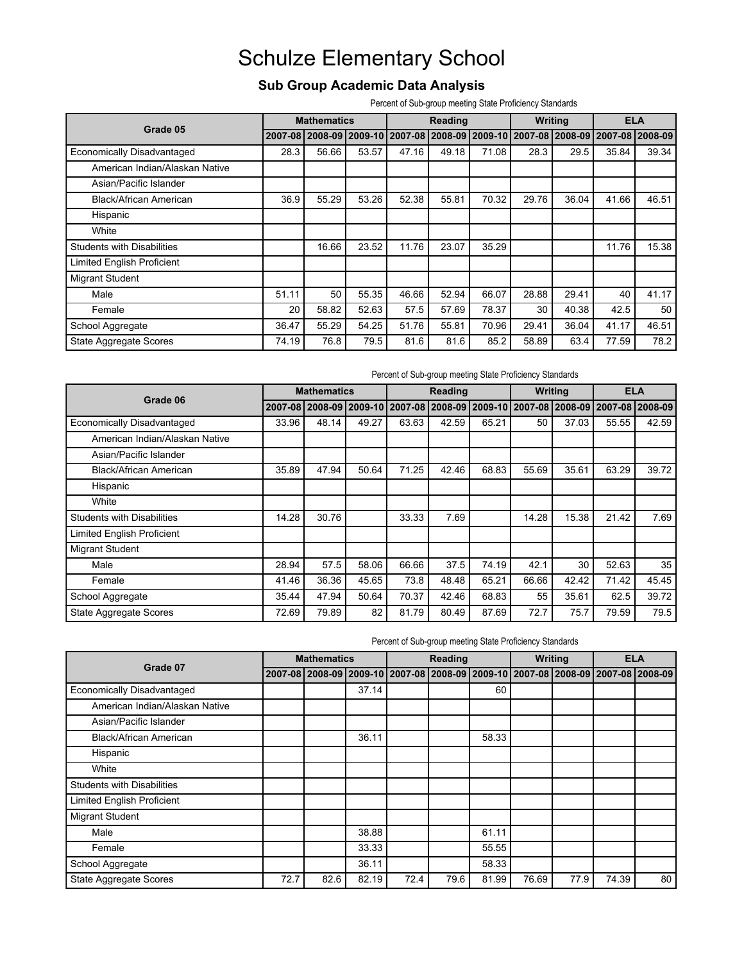### **Sub Group Academic Data Analysis**

Percent of Sub-group meeting State Proficiency Standards

|       |       |       |                                       |       |       |         |       |         | <b>ELA</b>                                                                    |
|-------|-------|-------|---------------------------------------|-------|-------|---------|-------|---------|-------------------------------------------------------------------------------|
|       |       |       |                                       |       |       |         |       |         |                                                                               |
| 28.3  | 56.66 | 53.57 | 47.16                                 | 49.18 | 71.08 | 28.3    | 29.5  | 35.84   | 39.34                                                                         |
|       |       |       |                                       |       |       |         |       |         |                                                                               |
|       |       |       |                                       |       |       |         |       |         |                                                                               |
| 36.9  | 55.29 | 53.26 | 52.38                                 | 55.81 | 70.32 | 29.76   | 36.04 | 41.66   | 46.51                                                                         |
|       |       |       |                                       |       |       |         |       |         |                                                                               |
|       |       |       |                                       |       |       |         |       |         |                                                                               |
|       | 16.66 | 23.52 | 11.76                                 | 23.07 | 35.29 |         |       | 11.76   | 15.38                                                                         |
|       |       |       |                                       |       |       |         |       |         |                                                                               |
|       |       |       |                                       |       |       |         |       |         |                                                                               |
| 51.11 | 50    | 55.35 | 46.66                                 | 52.94 | 66.07 | 28.88   | 29.41 | 40      | 41.17                                                                         |
| 20    | 58.82 | 52.63 | 57.5                                  | 57.69 | 78.37 | 30      | 40.38 | 42.5    | 50                                                                            |
| 36.47 | 55.29 | 54.25 | 51.76                                 | 55.81 | 70.96 | 29.41   | 36.04 | 41.17   | 46.51                                                                         |
| 74.19 | 76.8  | 79.5  | 81.6                                  | 81.6  | 85.2  | 58.89   | 63.4  | 77.59   | 78.2                                                                          |
|       |       |       | <b>Mathematics</b><br>2007-08 2008-09 |       |       | Reading |       | Writing | 2009-10   2007-08   2008-09   2009-10   2007-08   2008-09   2007-08   2008-09 |

| Percent of Sub-group meeting State Proficiency Standards |
|----------------------------------------------------------|
|----------------------------------------------------------|

| Grade 06                          |       | <b>Mathematics</b><br>Reading<br>Writing<br><b>ELA</b> |       |       |       |       |       |       |       |                                                                                 |
|-----------------------------------|-------|--------------------------------------------------------|-------|-------|-------|-------|-------|-------|-------|---------------------------------------------------------------------------------|
|                                   |       |                                                        |       |       |       |       |       |       |       | 2007-08 2008-09 2009-10 2007-08 2008-09 2009-10 2007-08 2008-09 2007-08 2008-09 |
| <b>Economically Disadvantaged</b> | 33.96 | 48.14                                                  | 49.27 | 63.63 | 42.59 | 65.21 | 50    | 37.03 | 55.55 | 42.59                                                                           |
| American Indian/Alaskan Native    |       |                                                        |       |       |       |       |       |       |       |                                                                                 |
| Asian/Pacific Islander            |       |                                                        |       |       |       |       |       |       |       |                                                                                 |
| Black/African American            | 35.89 | 47.94                                                  | 50.64 | 71.25 | 42.46 | 68.83 | 55.69 | 35.61 | 63.29 | 39.72                                                                           |
| Hispanic                          |       |                                                        |       |       |       |       |       |       |       |                                                                                 |
| White                             |       |                                                        |       |       |       |       |       |       |       |                                                                                 |
| <b>Students with Disabilities</b> | 14.28 | 30.76                                                  |       | 33.33 | 7.69  |       | 14.28 | 15.38 | 21.42 | 7.69                                                                            |
| <b>Limited English Proficient</b> |       |                                                        |       |       |       |       |       |       |       |                                                                                 |
| <b>Migrant Student</b>            |       |                                                        |       |       |       |       |       |       |       |                                                                                 |
| Male                              | 28.94 | 57.5                                                   | 58.06 | 66.66 | 37.5  | 74.19 | 42.1  | 30    | 52.63 | 35                                                                              |
| Female                            | 41.46 | 36.36                                                  | 45.65 | 73.8  | 48.48 | 65.21 | 66.66 | 42.42 | 71.42 | 45.45                                                                           |
| School Aggregate                  | 35.44 | 47.94                                                  | 50.64 | 70.37 | 42.46 | 68.83 | 55    | 35.61 | 62.5  | 39.72                                                                           |
| <b>State Aggregate Scores</b>     | 72.69 | 79.89                                                  | 82    | 81.79 | 80.49 | 87.69 | 72.7  | 75.7  | 79.59 | 79.5                                                                            |

Percent of Sub-group meeting State Proficiency Standards

|                                   |      | <b>Mathematics</b> |                                                                                 |      | Reading |       |       | Writing | <b>ELA</b> |    |
|-----------------------------------|------|--------------------|---------------------------------------------------------------------------------|------|---------|-------|-------|---------|------------|----|
| Grade 07                          |      |                    | 2007-08 2008-09 2009-10 2007-08 2008-09 2009-10 2007-08 2008-09 2007-08 2008-09 |      |         |       |       |         |            |    |
| <b>Economically Disadvantaged</b> |      |                    | 37.14                                                                           |      |         | 60    |       |         |            |    |
| American Indian/Alaskan Native    |      |                    |                                                                                 |      |         |       |       |         |            |    |
| Asian/Pacific Islander            |      |                    |                                                                                 |      |         |       |       |         |            |    |
| Black/African American            |      |                    | 36.11                                                                           |      |         | 58.33 |       |         |            |    |
| Hispanic                          |      |                    |                                                                                 |      |         |       |       |         |            |    |
| White                             |      |                    |                                                                                 |      |         |       |       |         |            |    |
| Students with Disabilities        |      |                    |                                                                                 |      |         |       |       |         |            |    |
| <b>Limited English Proficient</b> |      |                    |                                                                                 |      |         |       |       |         |            |    |
| <b>Migrant Student</b>            |      |                    |                                                                                 |      |         |       |       |         |            |    |
| Male                              |      |                    | 38.88                                                                           |      |         | 61.11 |       |         |            |    |
| Female                            |      |                    | 33.33                                                                           |      |         | 55.55 |       |         |            |    |
| School Aggregate                  |      |                    | 36.11                                                                           |      |         | 58.33 |       |         |            |    |
| State Aggregate Scores            | 72.7 | 82.6               | 82.19                                                                           | 72.4 | 79.6    | 81.99 | 76.69 | 77.9    | 74.39      | 80 |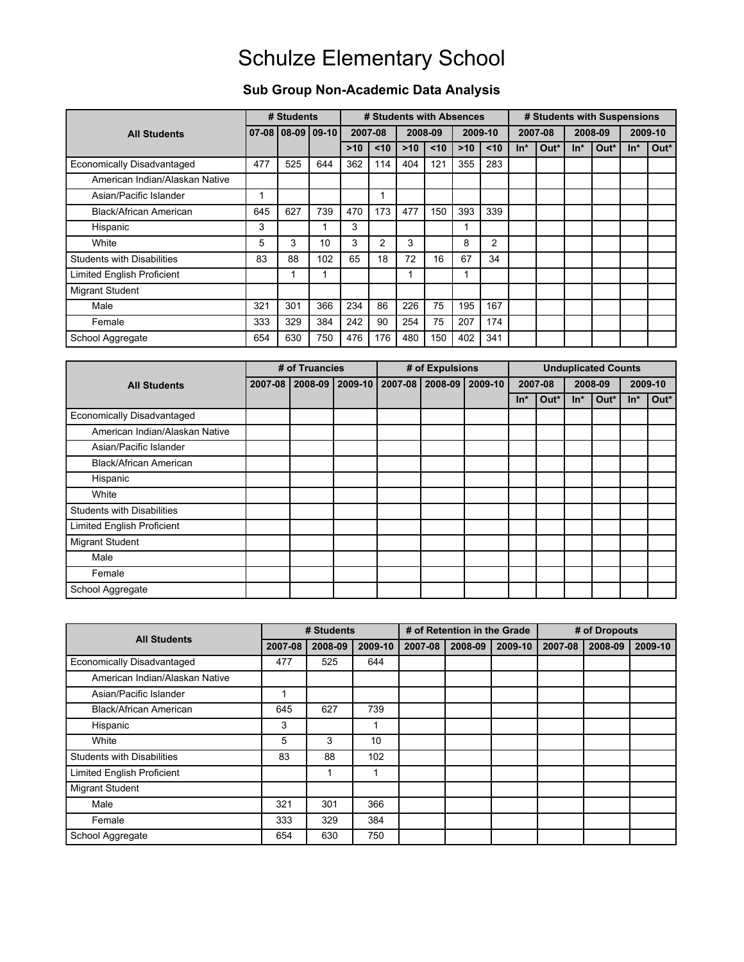### **Sub Group Non-Academic Data Analysis**

|                                   |     | # Students |                   |       | # Students with Absences |       |         |       |                |       | # Students with Suspensions |       |         |       |         |
|-----------------------------------|-----|------------|-------------------|-------|--------------------------|-------|---------|-------|----------------|-------|-----------------------------|-------|---------|-------|---------|
| <b>All Students</b>               |     |            | 07-08 08-09 09-10 |       | 2007-08                  |       | 2008-09 |       | 2009-10        |       | 2007-08                     |       | 2008-09 |       | 2009-10 |
|                                   |     |            |                   | $>10$ | $10$                     | $>10$ | $10$    | $>10$ | $10$           | $In*$ | Out*                        | $In*$ | Out*    | $In*$ | Out*    |
| Economically Disadvantaged        | 477 | 525        | 644               | 362   | 114                      | 404   | 121     | 355   | 283            |       |                             |       |         |       |         |
| American Indian/Alaskan Native    |     |            |                   |       |                          |       |         |       |                |       |                             |       |         |       |         |
| Asian/Pacific Islander            |     |            |                   |       |                          |       |         |       |                |       |                             |       |         |       |         |
| Black/African American            | 645 | 627        | 739               | 470   | 173                      | 477   | 150     | 393   | 339            |       |                             |       |         |       |         |
| Hispanic                          | 3   |            |                   | 3     |                          |       |         |       |                |       |                             |       |         |       |         |
| White                             | 5   | 3          | 10                | 3     | $\overline{2}$           | 3     |         | 8     | $\overline{2}$ |       |                             |       |         |       |         |
| <b>Students with Disabilities</b> | 83  | 88         | 102               | 65    | 18                       | 72    | 16      | 67    | 34             |       |                             |       |         |       |         |
| <b>Limited English Proficient</b> |     |            |                   |       |                          | 1     |         |       |                |       |                             |       |         |       |         |
| <b>Migrant Student</b>            |     |            |                   |       |                          |       |         |       |                |       |                             |       |         |       |         |
| Male                              | 321 | 301        | 366               | 234   | 86                       | 226   | 75      | 195   | 167            |       |                             |       |         |       |         |
| Female                            | 333 | 329        | 384               | 242   | 90                       | 254   | 75      | 207   | 174            |       |                             |       |         |       |         |
| School Aggregate                  | 654 | 630        | 750               | 476   | 176                      | 480   | 150     | 402   | 341            |       |                             |       |         |       |         |

|                                   |         | # of Truancies |                   | # of Expulsions         |       |         | <b>Unduplicated Counts</b> |         |       |         |
|-----------------------------------|---------|----------------|-------------------|-------------------------|-------|---------|----------------------------|---------|-------|---------|
| <b>All Students</b>               | 2007-08 |                | 2008-09   2009-10 | 2007-08 2008-09 2009-10 |       | 2007-08 |                            | 2008-09 |       | 2009-10 |
|                                   |         |                |                   |                         | $In*$ | Out*    | $In*$                      | Out*    | $In*$ | Out*    |
| Economically Disadvantaged        |         |                |                   |                         |       |         |                            |         |       |         |
| American Indian/Alaskan Native    |         |                |                   |                         |       |         |                            |         |       |         |
| Asian/Pacific Islander            |         |                |                   |                         |       |         |                            |         |       |         |
| Black/African American            |         |                |                   |                         |       |         |                            |         |       |         |
| Hispanic                          |         |                |                   |                         |       |         |                            |         |       |         |
| White                             |         |                |                   |                         |       |         |                            |         |       |         |
| <b>Students with Disabilities</b> |         |                |                   |                         |       |         |                            |         |       |         |
| <b>Limited English Proficient</b> |         |                |                   |                         |       |         |                            |         |       |         |
| <b>Migrant Student</b>            |         |                |                   |                         |       |         |                            |         |       |         |
| Male                              |         |                |                   |                         |       |         |                            |         |       |         |
| Female                            |         |                |                   |                         |       |         |                            |         |       |         |
| School Aggregate                  |         |                |                   |                         |       |         |                            |         |       |         |

|                                   |         | # Students |         |         | # of Retention in the Grade |         |         | # of Dropouts |         |
|-----------------------------------|---------|------------|---------|---------|-----------------------------|---------|---------|---------------|---------|
| <b>All Students</b>               | 2007-08 | 2008-09    | 2009-10 | 2007-08 | 2008-09                     | 2009-10 | 2007-08 | 2008-09       | 2009-10 |
| <b>Economically Disadvantaged</b> | 477     | 525        | 644     |         |                             |         |         |               |         |
| American Indian/Alaskan Native    |         |            |         |         |                             |         |         |               |         |
| Asian/Pacific Islander            |         |            |         |         |                             |         |         |               |         |
| Black/African American            | 645     | 627        | 739     |         |                             |         |         |               |         |
| Hispanic                          | 3       |            |         |         |                             |         |         |               |         |
| White                             | 5       | 3          | 10      |         |                             |         |         |               |         |
| <b>Students with Disabilities</b> | 83      | 88         | 102     |         |                             |         |         |               |         |
| <b>Limited English Proficient</b> |         |            |         |         |                             |         |         |               |         |
| <b>Migrant Student</b>            |         |            |         |         |                             |         |         |               |         |
| Male                              | 321     | 301        | 366     |         |                             |         |         |               |         |
| Female                            | 333     | 329        | 384     |         |                             |         |         |               |         |
| School Aggregate                  | 654     | 630        | 750     |         |                             |         |         |               |         |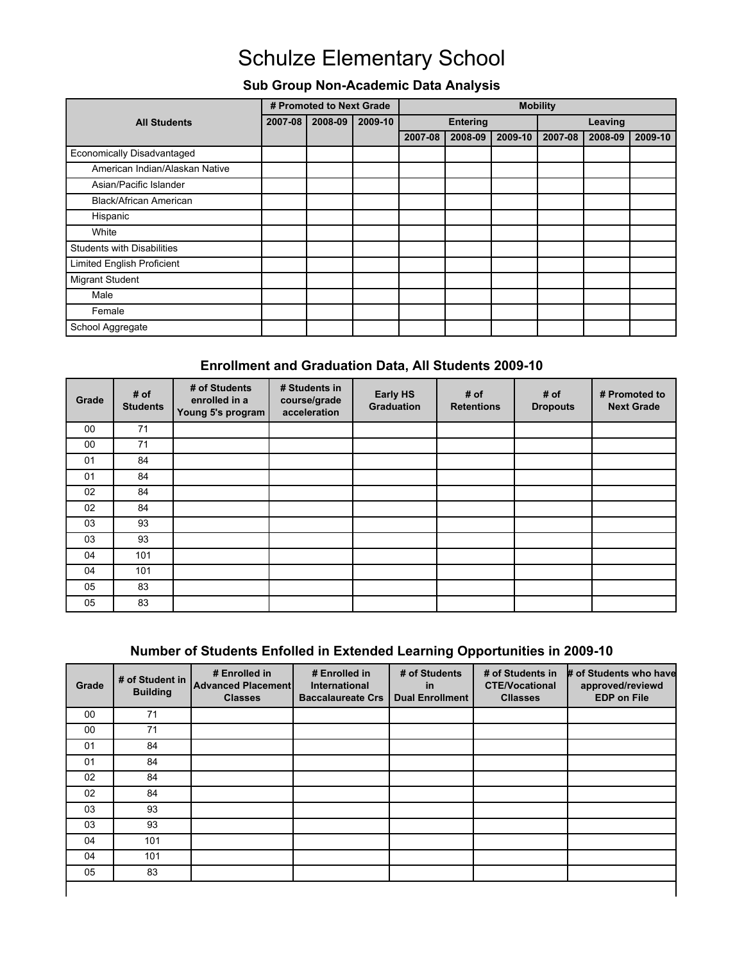### **Sub Group Non-Academic Data Analysis**

|                                   | # Promoted to Next Grade |         |         | <b>Mobility</b> |         |         |         |         |         |
|-----------------------------------|--------------------------|---------|---------|-----------------|---------|---------|---------|---------|---------|
| <b>All Students</b>               | 2007-08                  | 2008-09 | 2009-10 | <b>Entering</b> |         |         | Leaving |         |         |
|                                   |                          |         |         | 2007-08         | 2008-09 | 2009-10 | 2007-08 | 2008-09 | 2009-10 |
| Economically Disadvantaged        |                          |         |         |                 |         |         |         |         |         |
| American Indian/Alaskan Native    |                          |         |         |                 |         |         |         |         |         |
| Asian/Pacific Islander            |                          |         |         |                 |         |         |         |         |         |
| Black/African American            |                          |         |         |                 |         |         |         |         |         |
| Hispanic                          |                          |         |         |                 |         |         |         |         |         |
| White                             |                          |         |         |                 |         |         |         |         |         |
| Students with Disabilities        |                          |         |         |                 |         |         |         |         |         |
| <b>Limited English Proficient</b> |                          |         |         |                 |         |         |         |         |         |
| Migrant Student                   |                          |         |         |                 |         |         |         |         |         |
| Male                              |                          |         |         |                 |         |         |         |         |         |
| Female                            |                          |         |         |                 |         |         |         |         |         |
| School Aggregate                  |                          |         |         |                 |         |         |         |         |         |

#### **Enrollment and Graduation Data, All Students 2009-10**

| Grade | # of<br><b>Students</b> | # of Students<br>enrolled in a<br>Young 5's program | # Students in<br>course/grade<br>acceleration | <b>Early HS</b><br>Graduation | # of<br><b>Retentions</b> | # of<br><b>Dropouts</b> | # Promoted to<br><b>Next Grade</b> |
|-------|-------------------------|-----------------------------------------------------|-----------------------------------------------|-------------------------------|---------------------------|-------------------------|------------------------------------|
| 00    | 71                      |                                                     |                                               |                               |                           |                         |                                    |
| 00    | 71                      |                                                     |                                               |                               |                           |                         |                                    |
| 01    | 84                      |                                                     |                                               |                               |                           |                         |                                    |
| 01    | 84                      |                                                     |                                               |                               |                           |                         |                                    |
| 02    | 84                      |                                                     |                                               |                               |                           |                         |                                    |
| 02    | 84                      |                                                     |                                               |                               |                           |                         |                                    |
| 03    | 93                      |                                                     |                                               |                               |                           |                         |                                    |
| 03    | 93                      |                                                     |                                               |                               |                           |                         |                                    |
| 04    | 101                     |                                                     |                                               |                               |                           |                         |                                    |
| 04    | 101                     |                                                     |                                               |                               |                           |                         |                                    |
| 05    | 83                      |                                                     |                                               |                               |                           |                         |                                    |
| 05    | 83                      |                                                     |                                               |                               |                           |                         |                                    |

### **Number of Students Enfolled in Extended Learning Opportunities in 2009-10**

| Grade | # of Student in<br><b>Building</b> | # Enrolled in<br>Advanced Placement<br><b>Classes</b> | # Enrolled in<br>International<br><b>Baccalaureate Crs</b> | # of Students<br>in<br><b>Dual Enrollment</b> | # of Students in<br><b>CTE/Vocational</b><br><b>Cllasses</b> | # of Students who have<br>approved/reviewd<br><b>EDP on File</b> |
|-------|------------------------------------|-------------------------------------------------------|------------------------------------------------------------|-----------------------------------------------|--------------------------------------------------------------|------------------------------------------------------------------|
| 00    | 71                                 |                                                       |                                                            |                                               |                                                              |                                                                  |
| 00    | 71                                 |                                                       |                                                            |                                               |                                                              |                                                                  |
| 01    | 84                                 |                                                       |                                                            |                                               |                                                              |                                                                  |
| 01    | 84                                 |                                                       |                                                            |                                               |                                                              |                                                                  |
| 02    | 84                                 |                                                       |                                                            |                                               |                                                              |                                                                  |
| 02    | 84                                 |                                                       |                                                            |                                               |                                                              |                                                                  |
| 03    | 93                                 |                                                       |                                                            |                                               |                                                              |                                                                  |
| 03    | 93                                 |                                                       |                                                            |                                               |                                                              |                                                                  |
| 04    | 101                                |                                                       |                                                            |                                               |                                                              |                                                                  |
| 04    | 101                                |                                                       |                                                            |                                               |                                                              |                                                                  |
| 05    | 83                                 |                                                       |                                                            |                                               |                                                              |                                                                  |
|       |                                    |                                                       |                                                            |                                               |                                                              |                                                                  |